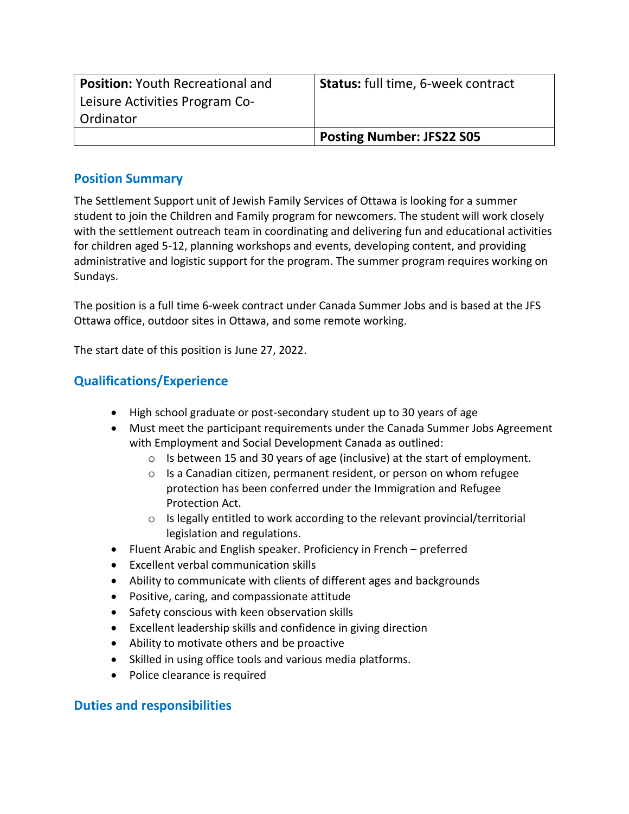| <b>Position: Youth Recreational and</b> | Status: full time, 6-week contract |
|-----------------------------------------|------------------------------------|
| Leisure Activities Program Co-          |                                    |
| Ordinator                               |                                    |
|                                         | <b>Posting Number: JFS22 S05</b>   |

## **Position Summary**

The Settlement Support unit of Jewish Family Services of Ottawa is looking for a summer student to join the Children and Family program for newcomers. The student will work closely with the settlement outreach team in coordinating and delivering fun and educational activities for children aged 5-12, planning workshops and events, developing content, and providing administrative and logistic support for the program. The summer program requires working on Sundays.

The position is a full time 6-week contract under Canada Summer Jobs and is based at the JFS Ottawa office, outdoor sites in Ottawa, and some remote working.

The start date of this position is June 27, 2022.

## **Qualifications/Experience**

- High school graduate or post-secondary student up to 30 years of age
- Must meet the participant requirements under the Canada Summer Jobs Agreement with Employment and Social Development Canada as outlined:
	- o Is between 15 and 30 years of age (inclusive) at the start of employment.
	- o Is a Canadian citizen, permanent resident, or person on whom refugee protection has been conferred under the Immigration and Refugee Protection Act.
	- $\circ$  Is legally entitled to work according to the relevant provincial/territorial legislation and regulations.
- Fluent Arabic and English speaker. Proficiency in French preferred
- Excellent verbal communication skills
- Ability to communicate with clients of different ages and backgrounds
- Positive, caring, and compassionate attitude
- Safety conscious with keen observation skills
- Excellent leadership skills and confidence in giving direction
- Ability to motivate others and be proactive
- Skilled in using office tools and various media platforms.
- Police clearance is required

## **Duties and responsibilities**